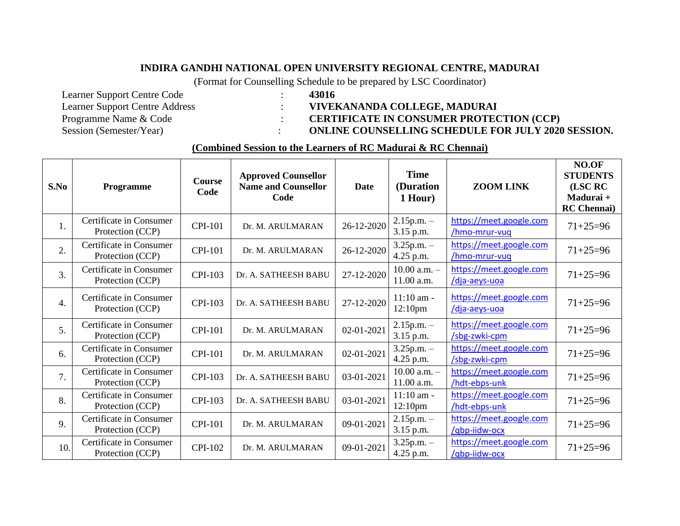## **INDIRA GANDHI NATIONAL OPEN UNIVERSITY REGIONAL CENTRE, MADURAI**

(Format for Counselling Schedule to be prepared by LSC Coordinator)

- Learner Support Centre Code : **43016** Learner Support Centre Address : **VIVEKANANDA COLLEGE, MADURAI**<br>Programme Name & Code : **CERTIFICATE IN CONSUMER PROTEC** Programme Name & Code : <br>
Session (Semester/Year) : <br> **CERTIFICATE IN CONSUMER PROTECTION** (CCP)<br> **CERTIFICATE IN CONSUMER PROTECTION** (CCP)
	-
	-

: **ONLINE COUNSELLING SCHEDULE FOR JULY 2020 SESSION.** 

## **(Combined Session to the Learners of RC Madurai & RC Chennai)**

| S.No             | Programme                                   | <b>Course</b><br>Code | <b>Approved Counsellor</b><br><b>Name and Counsellor</b><br>Code | <b>Date</b> | <b>Time</b><br>(Duration<br>1 Hour) | <b>ZOOM LINK</b>                         | NO.OF<br><b>STUDENTS</b><br>(LSC RC<br>Madurai +<br><b>RC</b> Chennai) |
|------------------|---------------------------------------------|-----------------------|------------------------------------------------------------------|-------------|-------------------------------------|------------------------------------------|------------------------------------------------------------------------|
| 1.               | Certificate in Consumer<br>Protection (CCP) | CPI-101               | Dr. M. ARULMARAN                                                 | 26-12-2020  | $2.15$ p.m. $-$<br>3.15 p.m.        | https://meet.google.com<br>/hmo-mrur-vuq | $71+25=96$                                                             |
| 2.               | Certificate in Consumer<br>Protection (CCP) | <b>CPI-101</b>        | Dr. M. ARULMARAN                                                 | 26-12-2020  | $3.25$ p.m. $-$<br>4.25 p.m.        | https://meet.google.com<br>/hmo-mrur-vuq | $71+25=96$                                                             |
| $\overline{3}$ . | Certificate in Consumer<br>Protection (CCP) | <b>CPI-103</b>        | Dr. A. SATHEESH BABU                                             | 27-12-2020  | $10.00$ a.m. $-$<br>11.00 a.m.      | https://meet.google.com<br>/dja-aeys-uoa | $71+25=96$                                                             |
| $\overline{4}$ . | Certificate in Consumer<br>Protection (CCP) | CPI-103               | Dr. A. SATHEESH BABU                                             | 27-12-2020  | $11:10$ am -<br>12:10 <sub>pm</sub> | https://meet.google.com<br>/dja-aeys-uoa | $71+25=96$                                                             |
| 5.               | Certificate in Consumer<br>Protection (CCP) | <b>CPI-101</b>        | Dr. M. ARULMARAN                                                 | 02-01-2021  | $2.15$ p.m. $-$<br>3.15 p.m.        | https://meet.google.com<br>/sbg-zwki-cpm | $71+25=96$                                                             |
| 6.               | Certificate in Consumer<br>Protection (CCP) | <b>CPI-101</b>        | Dr. M. ARULMARAN                                                 | 02-01-2021  | $3.25$ p.m. $-$<br>4.25 p.m.        | https://meet.google.com<br>/sbg-zwki-cpm | $71 + 25 = 96$                                                         |
| 7.               | Certificate in Consumer<br>Protection (CCP) | CPI-103               | Dr. A. SATHEESH BABU                                             | 03-01-2021  | $10.00$ a.m. $-$<br>11.00 a.m.      | https://meet.google.com<br>/hdt-ebps-unk | $71 + 25 = 96$                                                         |
| 8.               | Certificate in Consumer<br>Protection (CCP) | CPI-103               | Dr. A. SATHEESH BABU                                             | 03-01-2021  | $11:10$ am -<br>12:10 <sub>pm</sub> | https://meet.google.com<br>/hdt-ebps-unk | $71+25=96$                                                             |
| 9.               | Certificate in Consumer<br>Protection (CCP) | <b>CPI-101</b>        | Dr. M. ARULMARAN                                                 | 09-01-2021  | $2.15$ p.m. $-$<br>3.15 p.m.        | https://meet.google.com<br>/qbp-iidw-ocx | $71+25=96$                                                             |
| 10.              | Certificate in Consumer<br>Protection (CCP) | <b>CPI-102</b>        | Dr. M. ARULMARAN                                                 | 09-01-2021  | $3.25$ p.m. $-$<br>4.25 p.m.        | https://meet.google.com<br>/qbp-iidw-ocx | $71+25=96$                                                             |